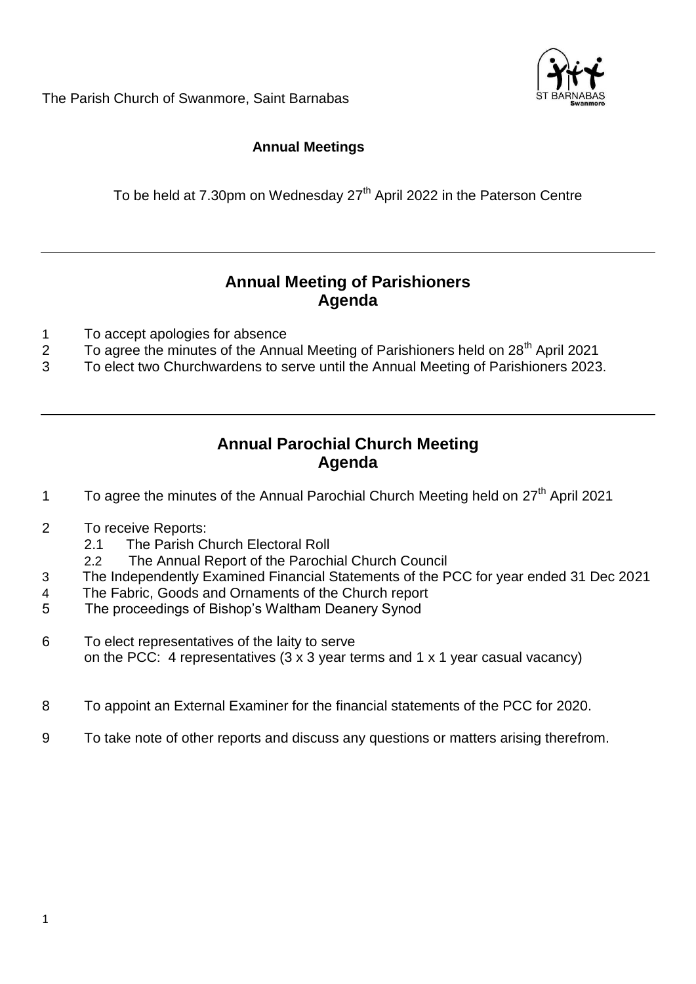

The Parish Church of Swanmore, Saint Barnabas

# **Annual Meetings**

To be held at 7.30pm on Wednesday 27<sup>th</sup> April 2022 in the Paterson Centre

# **Annual Meeting of Parishioners Agenda**

- 1 To accept apologies for absence
- 2 To agree the minutes of the Annual Meeting of Parishioners held on  $28<sup>th</sup>$  April 2021
- 3 To elect two Churchwardens to serve until the Annual Meeting of Parishioners 2023.

# **Annual Parochial Church Meeting Agenda**

- 1 To agree the minutes of the Annual Parochial Church Meeting held on 27<sup>th</sup> April 2021
- 2 To receive Reports:
	- 2.1 The Parish Church Electoral Roll
	- 2.2 The Annual Report of the Parochial Church Council
- 3 The Independently Examined Financial Statements of the PCC for year ended 31 Dec 2021
- 4 The Fabric, Goods and Ornaments of the Church report
- 5 The proceedings of Bishop's Waltham Deanery Synod
- 6 To elect representatives of the laity to serve on the PCC: 4 representatives (3 x 3 year terms and 1 x 1 year casual vacancy)
- 8 To appoint an External Examiner for the financial statements of the PCC for 2020.
- 9 To take note of other reports and discuss any questions or matters arising therefrom.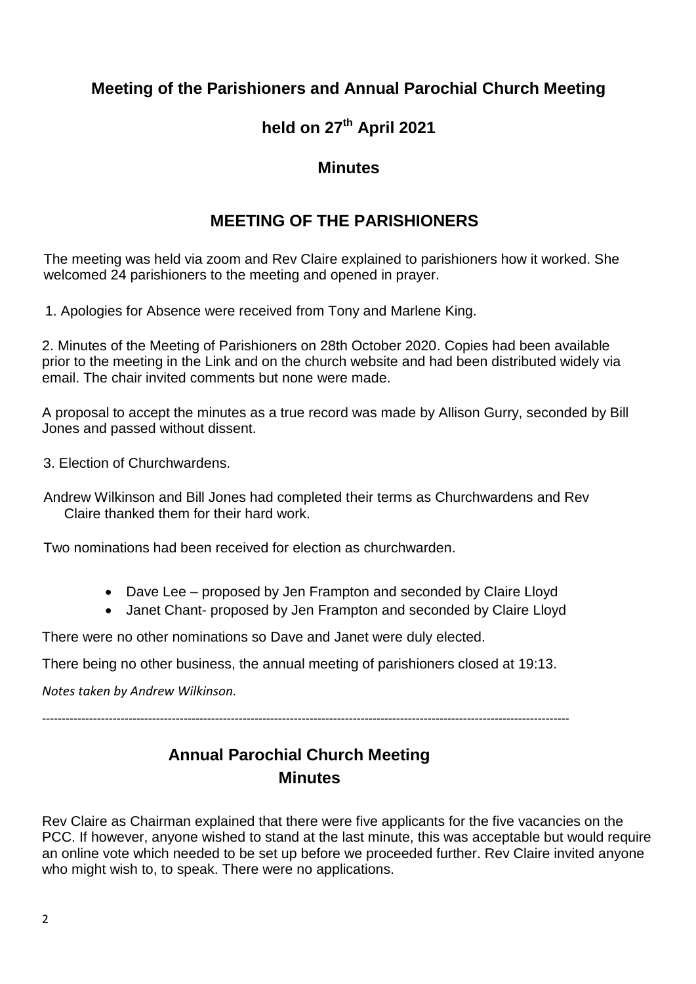# **Meeting of the Parishioners and Annual Parochial Church Meeting**

# **held on 27th April 2021**

# **Minutes**

# **MEETING OF THE PARISHIONERS**

The meeting was held via zoom and Rev Claire explained to parishioners how it worked. She welcomed 24 parishioners to the meeting and opened in prayer.

1. Apologies for Absence were received from Tony and Marlene King.

2. Minutes of the Meeting of Parishioners on 28th October 2020. Copies had been available prior to the meeting in the Link and on the church website and had been distributed widely via email. The chair invited comments but none were made.

A proposal to accept the minutes as a true record was made by Allison Gurry, seconded by Bill Jones and passed without dissent.

3. Election of Churchwardens.

Andrew Wilkinson and Bill Jones had completed their terms as Churchwardens and Rev Claire thanked them for their hard work.

Two nominations had been received for election as churchwarden.

- Dave Lee proposed by Jen Frampton and seconded by Claire Lloyd
- Janet Chant- proposed by Jen Frampton and seconded by Claire Lloyd

There were no other nominations so Dave and Janet were duly elected.

There being no other business, the annual meeting of parishioners closed at 19:13.

*Notes taken by Andrew Wilkinson.*

*--------------------------------------------------------------------------------------------------------------------------------------*

# **Annual Parochial Church Meeting Minutes**

Rev Claire as Chairman explained that there were five applicants for the five vacancies on the PCC. If however, anyone wished to stand at the last minute, this was acceptable but would require an online vote which needed to be set up before we proceeded further. Rev Claire invited anyone who might wish to, to speak. There were no applications.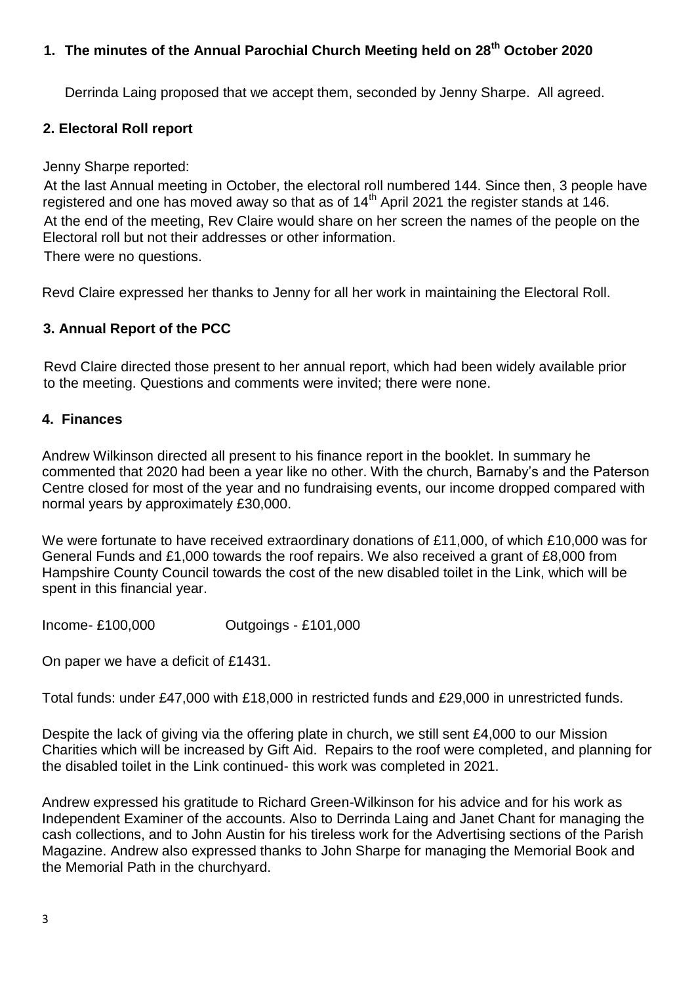# **1. The minutes of the Annual Parochial Church Meeting held on 28th October 2020**

Derrinda Laing proposed that we accept them, seconded by Jenny Sharpe. All agreed.

## **2. Electoral Roll report**

Jenny Sharpe reported:

At the last Annual meeting in October, the electoral roll numbered 144. Since then, 3 people have registered and one has moved away so that as of 14<sup>th</sup> April 2021 the register stands at 146. At the end of the meeting, Rev Claire would share on her screen the names of the people on the Electoral roll but not their addresses or other information.

There were no questions.

Revd Claire expressed her thanks to Jenny for all her work in maintaining the Electoral Roll.

## **3. Annual Report of the PCC**

Revd Claire directed those present to her annual report, which had been widely available prior to the meeting. Questions and comments were invited; there were none.

#### **4. Finances**

Andrew Wilkinson directed all present to his finance report in the booklet. In summary he commented that 2020 had been a year like no other. With the church, Barnaby's and the Paterson Centre closed for most of the year and no fundraising events, our income dropped compared with normal years by approximately £30,000.

We were fortunate to have received extraordinary donations of £11,000, of which £10,000 was for General Funds and £1,000 towards the roof repairs. We also received a grant of £8,000 from Hampshire County Council towards the cost of the new disabled toilet in the Link, which will be spent in this financial year.

Income- £100,000 Outgoings - £101,000

On paper we have a deficit of £1431.

Total funds: under £47,000 with £18,000 in restricted funds and £29,000 in unrestricted funds.

Despite the lack of giving via the offering plate in church, we still sent £4,000 to our Mission Charities which will be increased by Gift Aid. Repairs to the roof were completed, and planning for the disabled toilet in the Link continued- this work was completed in 2021.

Andrew expressed his gratitude to Richard Green-Wilkinson for his advice and for his work as Independent Examiner of the accounts. Also to Derrinda Laing and Janet Chant for managing the cash collections, and to John Austin for his tireless work for the Advertising sections of the Parish Magazine. Andrew also expressed thanks to John Sharpe for managing the Memorial Book and the Memorial Path in the churchyard.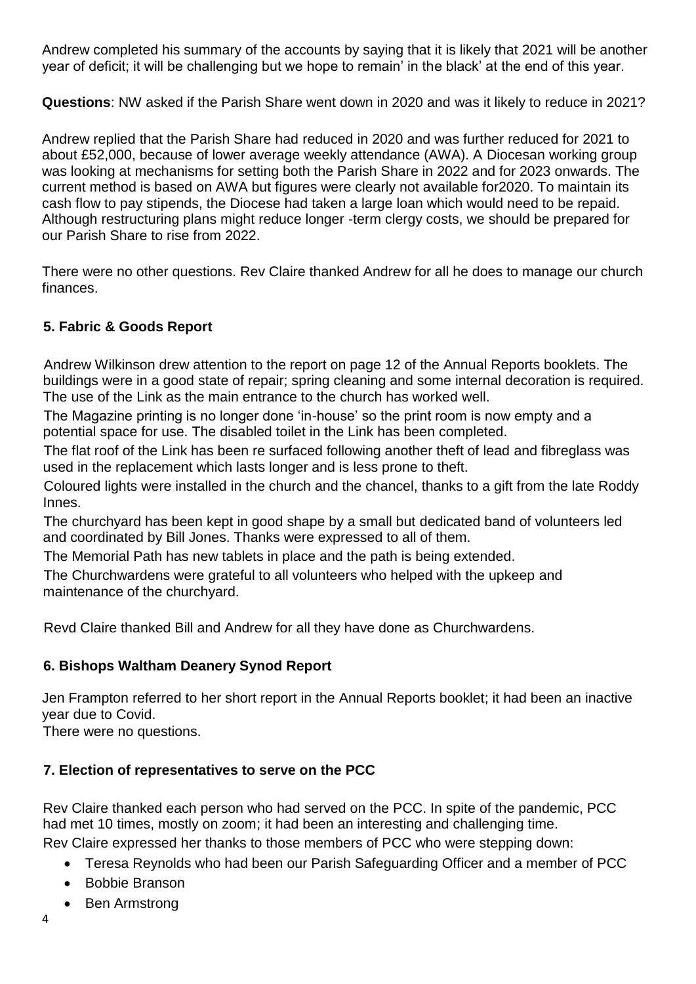Andrew completed his summary of the accounts by saying that it is likely that 2021 will be another year of deficit; it will be challenging but we hope to remain' in the black' at the end of this year.

**Questions**: NW asked if the Parish Share went down in 2020 and was it likely to reduce in 2021?

Andrew replied that the Parish Share had reduced in 2020 and was further reduced for 2021 to about £52,000, because of lower average weekly attendance (AWA). A Diocesan working group was looking at mechanisms for setting both the Parish Share in 2022 and for 2023 onwards. The current method is based on AWA but figures were clearly not available for2020. To maintain its cash flow to pay stipends, the Diocese had taken a large loan which would need to be repaid. Although restructuring plans might reduce longer -term clergy costs, we should be prepared for our Parish Share to rise from 2022.

There were no other questions. Rev Claire thanked Andrew for all he does to manage our church finances.

# **5. Fabric & Goods Report**

Andrew Wilkinson drew attention to the report on page 12 of the Annual Reports booklets. The buildings were in a good state of repair; spring cleaning and some internal decoration is required. The use of the Link as the main entrance to the church has worked well.

The Magazine printing is no longer done 'in-house' so the print room is now empty and a potential space for use. The disabled toilet in the Link has been completed.

The flat roof of the Link has been re surfaced following another theft of lead and fibreglass was used in the replacement which lasts longer and is less prone to theft.

Coloured lights were installed in the church and the chancel, thanks to a gift from the late Roddy Innes.

The churchyard has been kept in good shape by a small but dedicated band of volunteers led and coordinated by Bill Jones. Thanks were expressed to all of them.

The Memorial Path has new tablets in place and the path is being extended.

The Churchwardens were grateful to all volunteers who helped with the upkeep and maintenance of the churchyard.

Revd Claire thanked Bill and Andrew for all they have done as Churchwardens.

# **6. Bishops Waltham Deanery Synod Report**

Jen Frampton referred to her short report in the Annual Reports booklet; it had been an inactive year due to Covid.

There were no questions.

# **7. Election of representatives to serve on the PCC**

Rev Claire thanked each person who had served on the PCC. In spite of the pandemic, PCC had met 10 times, mostly on zoom; it had been an interesting and challenging time. Rev Claire expressed her thanks to those members of PCC who were stepping down:

- - Teresa Reynolds who had been our Parish Safeguarding Officer and a member of PCC
	- Bobbie Branson
	- Ben Armstrong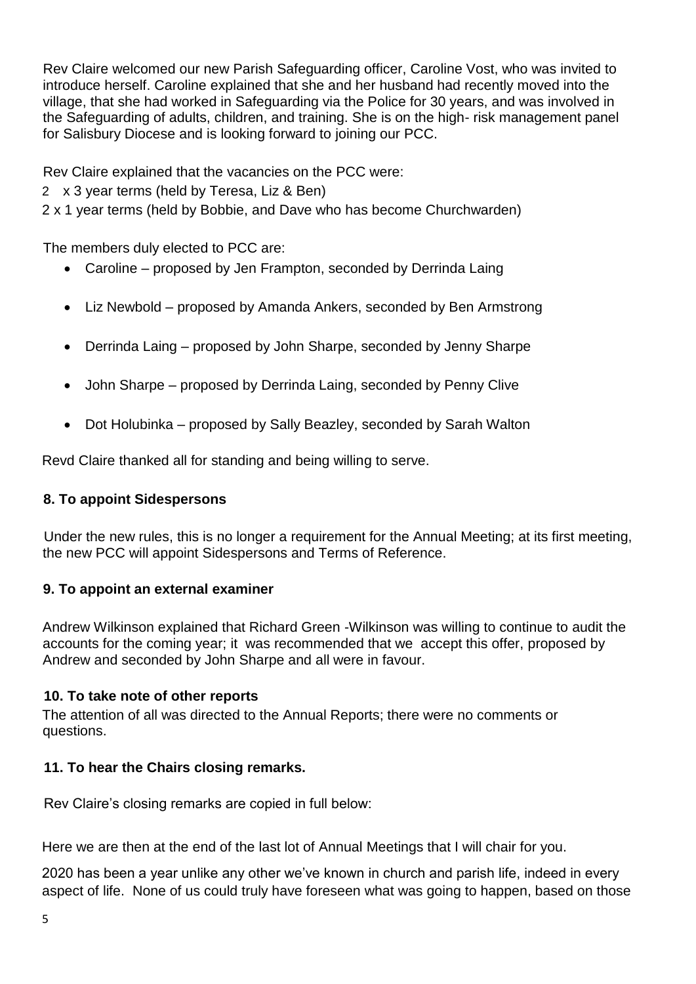Rev Claire welcomed our new Parish Safeguarding officer, Caroline Vost, who was invited to introduce herself. Caroline explained that she and her husband had recently moved into the village, that she had worked in Safeguarding via the Police for 30 years, and was involved in the Safeguarding of adults, children, and training. She is on the high- risk management panel for Salisbury Diocese and is looking forward to joining our PCC.

Rev Claire explained that the vacancies on the PCC were:

2 x 3 year terms (held by Teresa, Liz & Ben)

2 x 1 year terms (held by Bobbie, and Dave who has become Churchwarden)

The members duly elected to PCC are:

- Caroline proposed by Jen Frampton, seconded by Derrinda Laing
- Liz Newbold proposed by Amanda Ankers, seconded by Ben Armstrong
- Derrinda Laing proposed by John Sharpe, seconded by Jenny Sharpe
- John Sharpe proposed by Derrinda Laing, seconded by Penny Clive
- Dot Holubinka proposed by Sally Beazley, seconded by Sarah Walton

Revd Claire thanked all for standing and being willing to serve.

# **8. To appoint Sidespersons**

Under the new rules, this is no longer a requirement for the Annual Meeting; at its first meeting, the new PCC will appoint Sidespersons and Terms of Reference.

# **9. To appoint an external examiner**

Andrew Wilkinson explained that Richard Green -Wilkinson was willing to continue to audit the accounts for the coming year; it was recommended that we accept this offer, proposed by Andrew and seconded by John Sharpe and all were in favour.

# **10. To take note of other reports**

The attention of all was directed to the Annual Reports; there were no comments or questions.

# **11. To hear the Chairs closing remarks.**

Rev Claire's closing remarks are copied in full below:

Here we are then at the end of the last lot of Annual Meetings that I will chair for you.

2020 has been a year unlike any other we've known in church and parish life, indeed in every aspect of life. None of us could truly have foreseen what was going to happen, based on those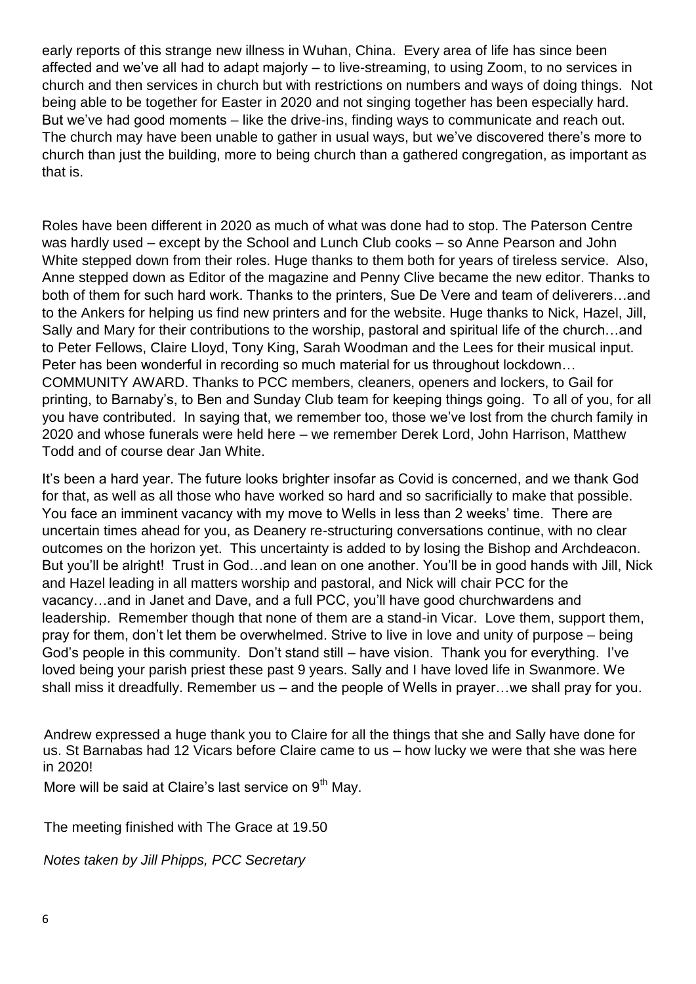early reports of this strange new illness in Wuhan, China. Every area of life has since been affected and we've all had to adapt majorly – to live-streaming, to using Zoom, to no services in church and then services in church but with restrictions on numbers and ways of doing things. Not being able to be together for Easter in 2020 and not singing together has been especially hard. But we've had good moments – like the drive-ins, finding ways to communicate and reach out. The church may have been unable to gather in usual ways, but we've discovered there's more to church than just the building, more to being church than a gathered congregation, as important as that is.

Roles have been different in 2020 as much of what was done had to stop. The Paterson Centre was hardly used – except by the School and Lunch Club cooks – so Anne Pearson and John White stepped down from their roles. Huge thanks to them both for years of tireless service. Also, Anne stepped down as Editor of the magazine and Penny Clive became the new editor. Thanks to both of them for such hard work. Thanks to the printers, Sue De Vere and team of deliverers…and to the Ankers for helping us find new printers and for the website. Huge thanks to Nick, Hazel, Jill, Sally and Mary for their contributions to the worship, pastoral and spiritual life of the church…and to Peter Fellows, Claire Lloyd, Tony King, Sarah Woodman and the Lees for their musical input. Peter has been wonderful in recording so much material for us throughout lockdown… COMMUNITY AWARD. Thanks to PCC members, cleaners, openers and lockers, to Gail for printing, to Barnaby's, to Ben and Sunday Club team for keeping things going. To all of you, for all you have contributed. In saying that, we remember too, those we've lost from the church family in 2020 and whose funerals were held here – we remember Derek Lord, John Harrison, Matthew Todd and of course dear Jan White.

It's been a hard year. The future looks brighter insofar as Covid is concerned, and we thank God for that, as well as all those who have worked so hard and so sacrificially to make that possible. You face an imminent vacancy with my move to Wells in less than 2 weeks' time. There are uncertain times ahead for you, as Deanery re-structuring conversations continue, with no clear outcomes on the horizon yet. This uncertainty is added to by losing the Bishop and Archdeacon. But you'll be alright! Trust in God...and lean on one another. You'll be in good hands with Jill, Nick and Hazel leading in all matters worship and pastoral, and Nick will chair PCC for the vacancy…and in Janet and Dave, and a full PCC, you'll have good churchwardens and leadership. Remember though that none of them are a stand-in Vicar. Love them, support them, pray for them, don't let them be overwhelmed. Strive to live in love and unity of purpose – being God's people in this community. Don't stand still – have vision. Thank you for everything. I've loved being your parish priest these past 9 years. Sally and I have loved life in Swanmore. We shall miss it dreadfully. Remember us – and the people of Wells in prayer…we shall pray for you.

Andrew expressed a huge thank you to Claire for all the things that she and Sally have done for us. St Barnabas had 12 Vicars before Claire came to us – how lucky we were that she was here in 2020!

More will be said at Claire's last service on 9<sup>th</sup> May.

The meeting finished with The Grace at 19.50

*Notes taken by Jill Phipps, PCC Secretary*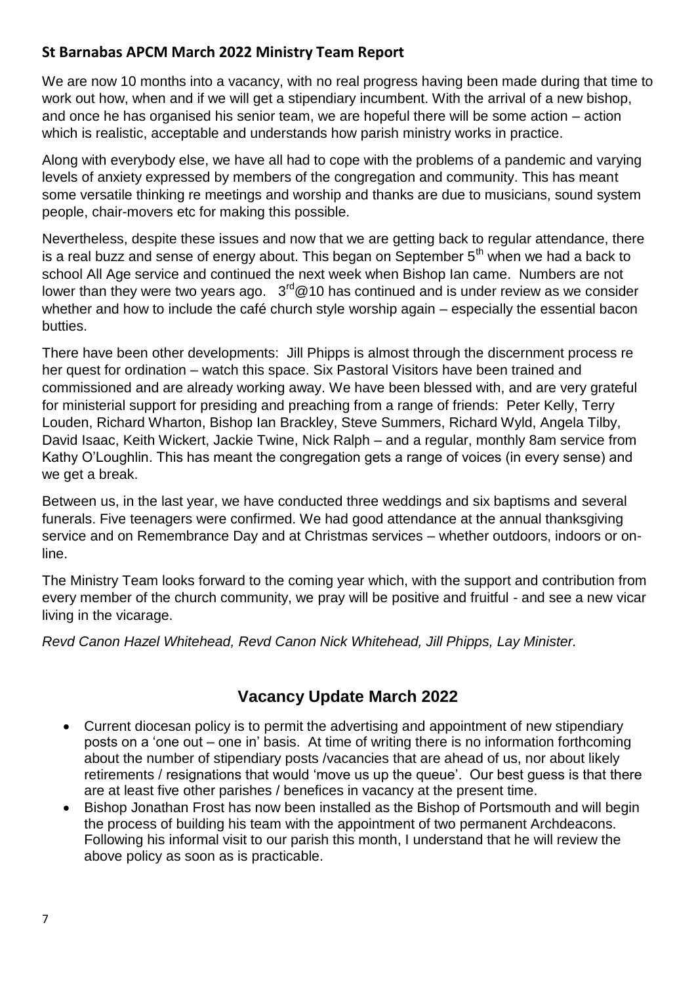# **St Barnabas APCM March 2022 Ministry Team Report**

We are now 10 months into a vacancy, with no real progress having been made during that time to work out how, when and if we will get a stipendiary incumbent. With the arrival of a new bishop, and once he has organised his senior team, we are hopeful there will be some action – action which is realistic, acceptable and understands how parish ministry works in practice.

Along with everybody else, we have all had to cope with the problems of a pandemic and varying levels of anxiety expressed by members of the congregation and community. This has meant some versatile thinking re meetings and worship and thanks are due to musicians, sound system people, chair-movers etc for making this possible.

Nevertheless, despite these issues and now that we are getting back to regular attendance, there is a real buzz and sense of energy about. This began on September 5<sup>th</sup> when we had a back to school All Age service and continued the next week when Bishop Ian came. Numbers are not lower than they were two years ago.  $3^{rd}$ @10 has continued and is under review as we consider whether and how to include the café church style worship again – especially the essential bacon butties.

There have been other developments: Jill Phipps is almost through the discernment process re her quest for ordination – watch this space. Six Pastoral Visitors have been trained and commissioned and are already working away. We have been blessed with, and are very grateful for ministerial support for presiding and preaching from a range of friends: Peter Kelly, Terry Louden, Richard Wharton, Bishop Ian Brackley, Steve Summers, Richard Wyld, Angela Tilby, David Isaac, Keith Wickert, Jackie Twine, Nick Ralph – and a regular, monthly 8am service from Kathy O'Loughlin. This has meant the congregation gets a range of voices (in every sense) and we get a break.

Between us, in the last year, we have conducted three weddings and six baptisms and several funerals. Five teenagers were confirmed. We had good attendance at the annual thanksgiving service and on Remembrance Day and at Christmas services – whether outdoors, indoors or online.

The Ministry Team looks forward to the coming year which, with the support and contribution from every member of the church community, we pray will be positive and fruitful - and see a new vicar living in the vicarage.

*Revd Canon Hazel Whitehead, Revd Canon Nick Whitehead, Jill Phipps, Lay Minister.*

# **Vacancy Update March 2022**

- Current diocesan policy is to permit the advertising and appointment of new stipendiary posts on a 'one out – one in' basis. At time of writing there is no information forthcoming about the number of stipendiary posts /vacancies that are ahead of us, nor about likely retirements / resignations that would 'move us up the queue'. Our best guess is that there are at least five other parishes / benefices in vacancy at the present time.
- Bishop Jonathan Frost has now been installed as the Bishop of Portsmouth and will begin the process of building his team with the appointment of two permanent Archdeacons. Following his informal visit to our parish this month, I understand that he will review the above policy as soon as is practicable.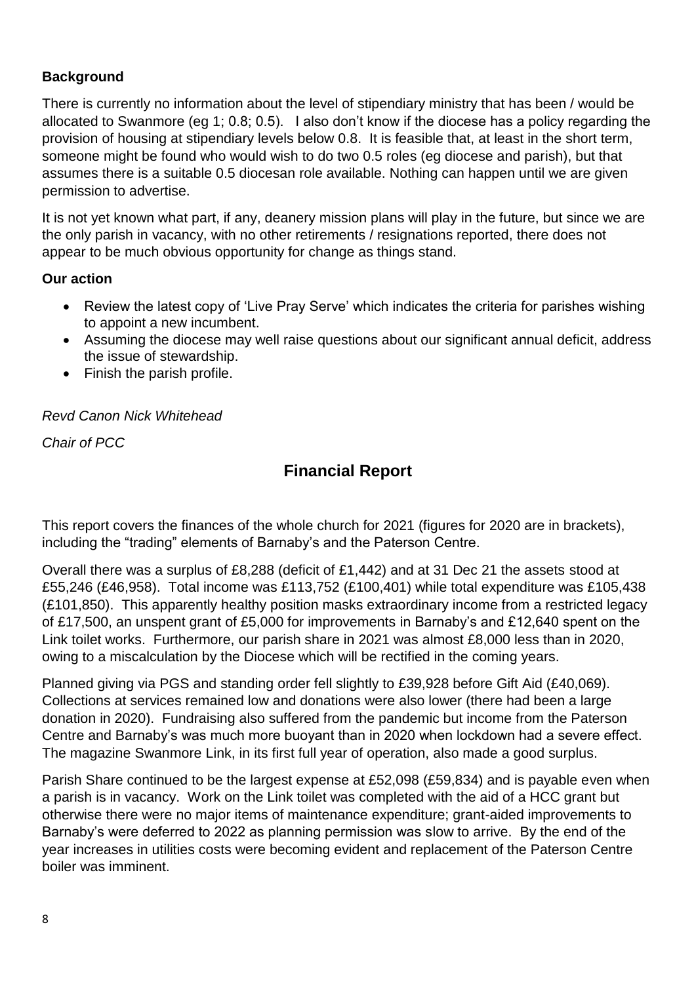# **Background**

There is currently no information about the level of stipendiary ministry that has been / would be allocated to Swanmore (eg 1; 0.8; 0.5). I also don't know if the diocese has a policy regarding the provision of housing at stipendiary levels below 0.8. It is feasible that, at least in the short term, someone might be found who would wish to do two 0.5 roles (eg diocese and parish), but that assumes there is a suitable 0.5 diocesan role available. Nothing can happen until we are given permission to advertise.

It is not yet known what part, if any, deanery mission plans will play in the future, but since we are the only parish in vacancy, with no other retirements / resignations reported, there does not appear to be much obvious opportunity for change as things stand.

# **Our action**

- Review the latest copy of 'Live Pray Serve' which indicates the criteria for parishes wishing to appoint a new incumbent.
- Assuming the diocese may well raise questions about our significant annual deficit, address the issue of stewardship.
- Finish the parish profile.

# *Revd Canon Nick Whitehead*

*Chair of PCC*

# **Financial Report**

This report covers the finances of the whole church for 2021 (figures for 2020 are in brackets), including the "trading" elements of Barnaby's and the Paterson Centre.

Overall there was a surplus of £8,288 (deficit of £1,442) and at 31 Dec 21 the assets stood at £55,246 (£46,958). Total income was £113,752 (£100,401) while total expenditure was £105,438 (£101,850). This apparently healthy position masks extraordinary income from a restricted legacy of £17,500, an unspent grant of £5,000 for improvements in Barnaby's and £12,640 spent on the Link toilet works. Furthermore, our parish share in 2021 was almost £8,000 less than in 2020, owing to a miscalculation by the Diocese which will be rectified in the coming years.

Planned giving via PGS and standing order fell slightly to £39,928 before Gift Aid (£40,069). Collections at services remained low and donations were also lower (there had been a large donation in 2020). Fundraising also suffered from the pandemic but income from the Paterson Centre and Barnaby's was much more buoyant than in 2020 when lockdown had a severe effect. The magazine Swanmore Link, in its first full year of operation, also made a good surplus.

Parish Share continued to be the largest expense at £52,098 (£59,834) and is payable even when a parish is in vacancy. Work on the Link toilet was completed with the aid of a HCC grant but otherwise there were no major items of maintenance expenditure; grant-aided improvements to Barnaby's were deferred to 2022 as planning permission was slow to arrive. By the end of the year increases in utilities costs were becoming evident and replacement of the Paterson Centre boiler was imminent.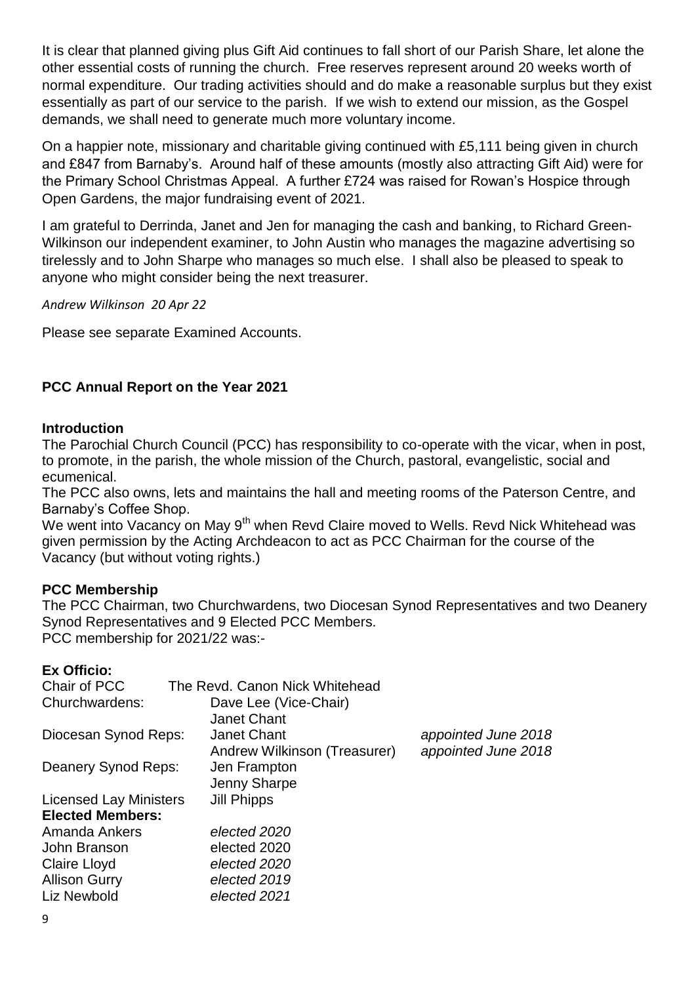It is clear that planned giving plus Gift Aid continues to fall short of our Parish Share, let alone the other essential costs of running the church. Free reserves represent around 20 weeks worth of normal expenditure. Our trading activities should and do make a reasonable surplus but they exist essentially as part of our service to the parish. If we wish to extend our mission, as the Gospel demands, we shall need to generate much more voluntary income.

On a happier note, missionary and charitable giving continued with £5,111 being given in church and £847 from Barnaby's. Around half of these amounts (mostly also attracting Gift Aid) were for the Primary School Christmas Appeal. A further £724 was raised for Rowan's Hospice through Open Gardens, the major fundraising event of 2021.

I am grateful to Derrinda, Janet and Jen for managing the cash and banking, to Richard Green-Wilkinson our independent examiner, to John Austin who manages the magazine advertising so tirelessly and to John Sharpe who manages so much else. I shall also be pleased to speak to anyone who might consider being the next treasurer.

*Andrew Wilkinson 20 Apr 22*

Please see separate Examined Accounts.

# **PCC Annual Report on the Year 2021**

#### **Introduction**

The Parochial Church Council (PCC) has responsibility to co-operate with the vicar, when in post, to promote, in the parish, the whole mission of the Church, pastoral, evangelistic, social and ecumenical.

The PCC also owns, lets and maintains the hall and meeting rooms of the Paterson Centre, and Barnaby's Coffee Shop.

We went into Vacancy on May 9<sup>th</sup> when Revd Claire moved to Wells. Revd Nick Whitehead was given permission by the Acting Archdeacon to act as PCC Chairman for the course of the Vacancy (but without voting rights.)

### **PCC Membership**

The PCC Chairman, two Churchwardens, two Diocesan Synod Representatives and two Deanery Synod Representatives and 9 Elected PCC Members. PCC membership for 2021/22 was:-

#### **Ex Officio:**

| The Revd. Canon Nick Whitehead |                     |
|--------------------------------|---------------------|
| Dave Lee (Vice-Chair)          |                     |
| <b>Janet Chant</b>             |                     |
| <b>Janet Chant</b>             | appointed June 2018 |
| Andrew Wilkinson (Treasurer)   | appointed June 2018 |
| Jen Frampton                   |                     |
| Jenny Sharpe                   |                     |
| <b>Jill Phipps</b>             |                     |
|                                |                     |
| elected 2020                   |                     |
| elected 2020                   |                     |
| elected 2020                   |                     |
| elected 2019                   |                     |
| elected 2021                   |                     |
|                                |                     |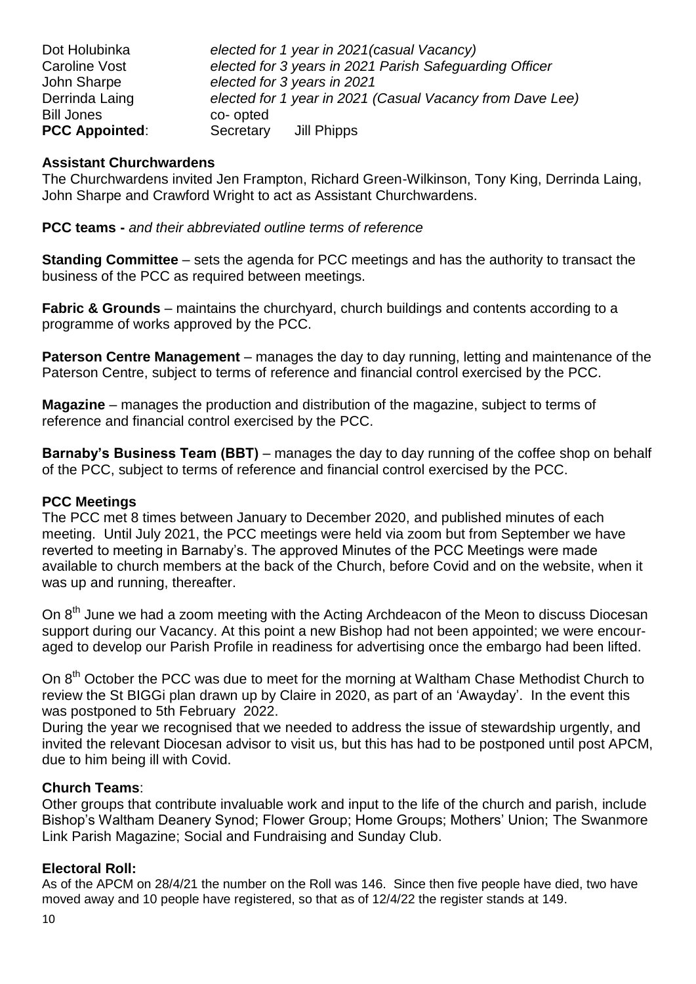| Dot Holubinka         | elected for 1 year in 2021 (casual Vacancy)               |
|-----------------------|-----------------------------------------------------------|
| Caroline Vost         | elected for 3 years in 2021 Parish Safeguarding Officer   |
| John Sharpe           | elected for 3 years in 2021                               |
| Derrinda Laing        | elected for 1 year in 2021 (Casual Vacancy from Dave Lee) |
| <b>Bill Jones</b>     | co-opted                                                  |
| <b>PCC Appointed:</b> | Secretary<br>Jill Phipps                                  |

#### **Assistant Churchwardens**

The Churchwardens invited Jen Frampton, Richard Green-Wilkinson, Tony King, Derrinda Laing, John Sharpe and Crawford Wright to act as Assistant Churchwardens.

**PCC teams -** *and their abbreviated outline terms of reference*

**Standing Committee** – sets the agenda for PCC meetings and has the authority to transact the business of the PCC as required between meetings.

**Fabric & Grounds** – maintains the churchyard, church buildings and contents according to a programme of works approved by the PCC.

**Paterson Centre Management** – manages the day to day running, letting and maintenance of the Paterson Centre, subject to terms of reference and financial control exercised by the PCC.

**Magazine** – manages the production and distribution of the magazine, subject to terms of reference and financial control exercised by the PCC.

**Barnaby's Business Team (BBT)** – manages the day to day running of the coffee shop on behalf of the PCC, subject to terms of reference and financial control exercised by the PCC.

### **PCC Meetings**

The PCC met 8 times between January to December 2020, and published minutes of each meeting. Until July 2021, the PCC meetings were held via zoom but from September we have reverted to meeting in Barnaby's. The approved Minutes of the PCC Meetings were made available to church members at the back of the Church, before Covid and on the website, when it was up and running, thereafter.

On 8<sup>th</sup> June we had a zoom meeting with the Acting Archdeacon of the Meon to discuss Diocesan support during our Vacancy. At this point a new Bishop had not been appointed; we were encouraged to develop our Parish Profile in readiness for advertising once the embargo had been lifted.

On 8<sup>th</sup> October the PCC was due to meet for the morning at Waltham Chase Methodist Church to review the St BIGGi plan drawn up by Claire in 2020, as part of an 'Awayday'. In the event this was postponed to 5th February 2022.

During the year we recognised that we needed to address the issue of stewardship urgently, and invited the relevant Diocesan advisor to visit us, but this has had to be postponed until post APCM, due to him being ill with Covid.

### **Church Teams**:

Other groups that contribute invaluable work and input to the life of the church and parish, include Bishop's Waltham Deanery Synod; Flower Group; Home Groups; Mothers' Union; The Swanmore Link Parish Magazine; Social and Fundraising and Sunday Club.

### **Electoral Roll:**

As of the APCM on 28/4/21 the number on the Roll was 146. Since then five people have died, two have moved away and 10 people have registered, so that as of 12/4/22 the register stands at 149.